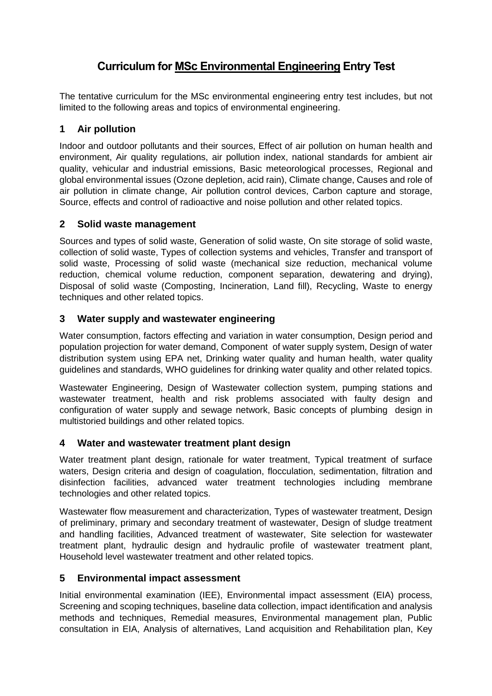# **Curriculum for MSc Environmental Engineering Entry Test**

The tentative curriculum for the MSc environmental engineering entry test includes, but not limited to the following areas and topics of environmental engineering.

## **1 Air pollution**

Indoor and outdoor pollutants and their sources, Effect of air pollution on human health and environment, Air quality regulations, air pollution index, national standards for ambient air quality, vehicular and industrial emissions, Basic meteorological processes, Regional and global environmental issues (Ozone depletion, acid rain), Climate change, Causes and role of air pollution in climate change, Air pollution control devices, Carbon capture and storage, Source, effects and control of radioactive and noise pollution and other related topics.

### **2 Solid waste management**

Sources and types of solid waste, Generation of solid waste, On site storage of solid waste, collection of solid waste, Types of collection systems and vehicles, Transfer and transport of solid waste, Processing of solid waste (mechanical size reduction, mechanical volume reduction, chemical volume reduction, component separation, dewatering and drying), Disposal of solid waste (Composting, Incineration, Land fill), Recycling, Waste to energy techniques and other related topics.

### **3 Water supply and wastewater engineering**

Water consumption, factors effecting and variation in water consumption, Design period and population projection for water demand, Component of water supply system, Design of water distribution system using EPA net, Drinking water quality and human health, water quality guidelines and standards, WHO guidelines for drinking water quality and other related topics.

Wastewater Engineering, Design of Wastewater collection system, pumping stations and wastewater treatment, health and risk problems associated with faulty design and configuration of water supply and sewage network, Basic concepts of plumbing design in multistoried buildings and other related topics.

#### **4 Water and wastewater treatment plant design**

Water treatment plant design, rationale for water treatment, Typical treatment of surface waters, Design criteria and design of coagulation, flocculation, sedimentation, filtration and disinfection facilities, advanced water treatment technologies including membrane technologies and other related topics.

Wastewater flow measurement and characterization, Types of wastewater treatment, Design of preliminary, primary and secondary treatment of wastewater, Design of sludge treatment and handling facilities, Advanced treatment of wastewater, Site selection for wastewater treatment plant, hydraulic design and hydraulic profile of wastewater treatment plant, Household level wastewater treatment and other related topics.

#### **5 Environmental impact assessment**

Initial environmental examination (IEE), Environmental impact assessment (EIA) process, Screening and scoping techniques, baseline data collection, impact identification and analysis methods and techniques, Remedial measures, Environmental management plan, Public consultation in EIA, Analysis of alternatives, Land acquisition and Rehabilitation plan, Key